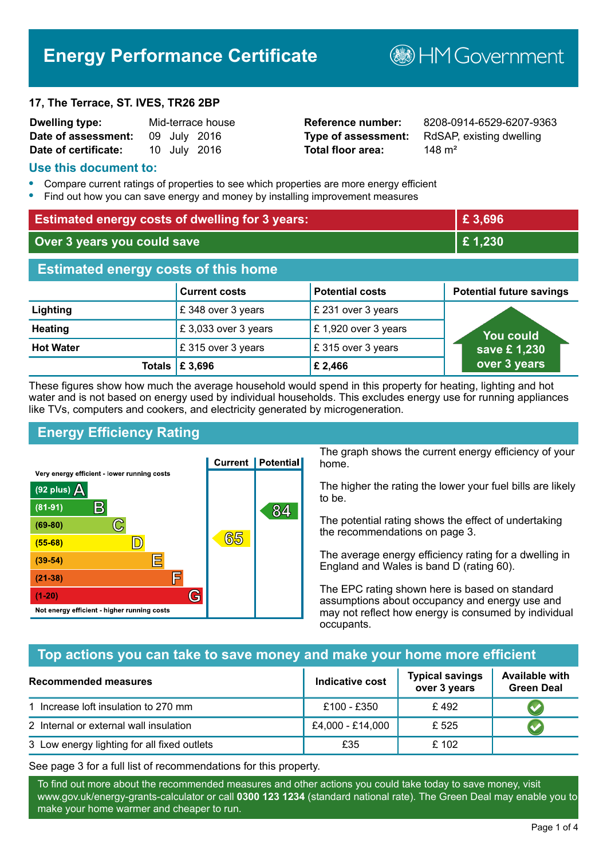# **Energy Performance Certificate**

#### **17, The Terrace, ST. IVES, TR26 2BP**

| Dwelling type:       |  | Mid-terrace house |
|----------------------|--|-------------------|
| Date of assessment:  |  | 09 July 2016      |
| Date of certificate: |  | 10 July 2016      |

# **Total floor area:** 148 m<sup>2</sup>

**Reference number:** 8208-0914-6529-6207-9363 **Type of assessment:** RdSAP, existing dwelling

**BHM Government** 

#### **Use this document to:**

- **•** Compare current ratings of properties to see which properties are more energy efficient
- **•** Find out how you can save energy and money by installing improvement measures

| <b>Estimated energy costs of dwelling for 3 years:</b> |                      | £ 3,696                |                                 |  |
|--------------------------------------------------------|----------------------|------------------------|---------------------------------|--|
| Over 3 years you could save                            |                      | £1,230                 |                                 |  |
| <b>Estimated energy costs of this home</b>             |                      |                        |                                 |  |
|                                                        | <b>Current costs</b> | <b>Potential costs</b> | <b>Potential future savings</b> |  |
| Lighting                                               | £348 over 3 years    | £ 231 over 3 years     |                                 |  |
| <b>Heating</b>                                         | £3,033 over 3 years  | £1,920 over 3 years    | You could                       |  |
| <b>Hot Water</b>                                       | £315 over 3 years    | £315 over 3 years      | save £1,230                     |  |
| Totals                                                 | £3,696               | £ 2,466                | over 3 years                    |  |

These figures show how much the average household would spend in this property for heating, lighting and hot water and is not based on energy used by individual households. This excludes energy use for running appliances like TVs, computers and cookers, and electricity generated by microgeneration.

# **Energy Efficiency Rating**



The graph shows the current energy efficiency of your home.

The higher the rating the lower your fuel bills are likely to be.

The potential rating shows the effect of undertaking the recommendations on page 3.

The average energy efficiency rating for a dwelling in England and Wales is band D (rating 60).

The EPC rating shown here is based on standard assumptions about occupancy and energy use and may not reflect how energy is consumed by individual occupants.

## **Top actions you can take to save money and make your home more efficient**

| <b>Recommended measures</b>                 | Indicative cost  | <b>Typical savings</b><br>over 3 years | <b>Available with</b><br><b>Green Deal</b> |
|---------------------------------------------|------------------|----------------------------------------|--------------------------------------------|
| 1 Increase loft insulation to 270 mm        | £100 - £350      | £492                                   |                                            |
| 2 Internal or external wall insulation      | £4,000 - £14,000 | £ 525                                  |                                            |
| 3 Low energy lighting for all fixed outlets | £35              | £102                                   |                                            |

See page 3 for a full list of recommendations for this property.

To find out more about the recommended measures and other actions you could take today to save money, visit www.gov.uk/energy-grants-calculator or call **0300 123 1234** (standard national rate). The Green Deal may enable you to make your home warmer and cheaper to run.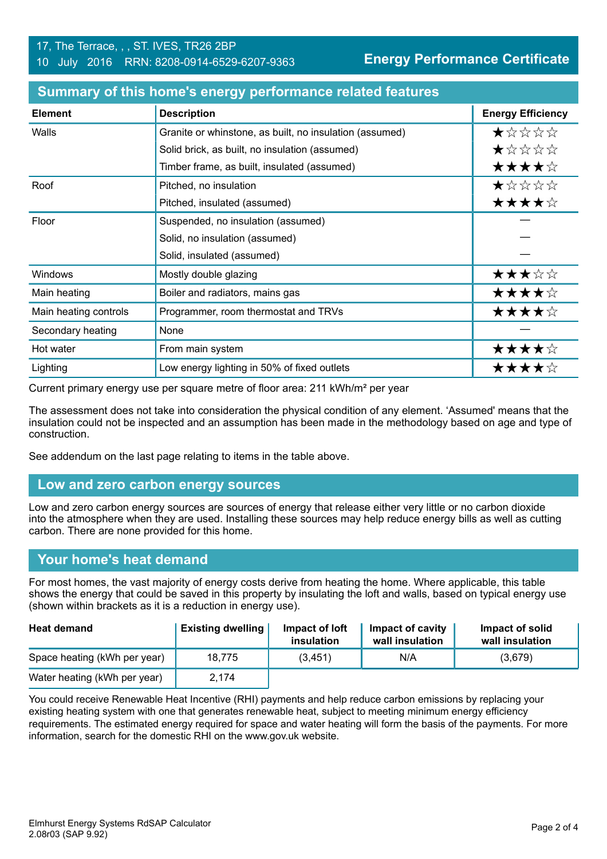| <b>Element</b>        | <b>Description</b>                                      | <b>Energy Efficiency</b> |
|-----------------------|---------------------------------------------------------|--------------------------|
| Walls                 | Granite or whinstone, as built, no insulation (assumed) | *****                    |
|                       | Solid brick, as built, no insulation (assumed)          | ★☆☆☆☆                    |
|                       | Timber frame, as built, insulated (assumed)             | ★★★★☆                    |
| Roof                  | Pitched, no insulation                                  | ★☆☆☆☆                    |
|                       | Pitched, insulated (assumed)                            | ★★★★☆                    |
| Floor                 | Suspended, no insulation (assumed)                      |                          |
|                       | Solid, no insulation (assumed)                          |                          |
|                       | Solid, insulated (assumed)                              |                          |
| Windows               | Mostly double glazing                                   | ★★★☆☆                    |
| Main heating          | Boiler and radiators, mains gas                         | ★★★★☆                    |
| Main heating controls | Programmer, room thermostat and TRVs                    | ★★★★☆                    |
| Secondary heating     | None                                                    |                          |
| Hot water             | From main system                                        | ★★★★☆                    |
| Lighting              | Low energy lighting in 50% of fixed outlets             | ★★★★☆                    |

#### **Summary of this home's energy performance related features**

Current primary energy use per square metre of floor area: 211 kWh/m² per year

The assessment does not take into consideration the physical condition of any element. 'Assumed' means that the insulation could not be inspected and an assumption has been made in the methodology based on age and type of construction.

See addendum on the last page relating to items in the table above.

#### **Low and zero carbon energy sources**

Low and zero carbon energy sources are sources of energy that release either very little or no carbon dioxide into the atmosphere when they are used. Installing these sources may help reduce energy bills as well as cutting carbon. There are none provided for this home.

#### **Your home's heat demand**

For most homes, the vast majority of energy costs derive from heating the home. Where applicable, this table shows the energy that could be saved in this property by insulating the loft and walls, based on typical energy use (shown within brackets as it is a reduction in energy use).

| <b>Heat demand</b>           | <b>Existing dwelling</b> | Impact of loft<br>insulation | Impact of cavity<br>wall insulation | Impact of solid<br>wall insulation |
|------------------------------|--------------------------|------------------------------|-------------------------------------|------------------------------------|
| Space heating (kWh per year) | 18.775                   | (3, 451)                     | N/A                                 | (3,679)                            |
| Water heating (kWh per year) | 2.174                    |                              |                                     |                                    |

You could receive Renewable Heat Incentive (RHI) payments and help reduce carbon emissions by replacing your existing heating system with one that generates renewable heat, subject to meeting minimum energy efficiency requirements. The estimated energy required for space and water heating will form the basis of the payments. For more information, search for the domestic RHI on the www.gov.uk website.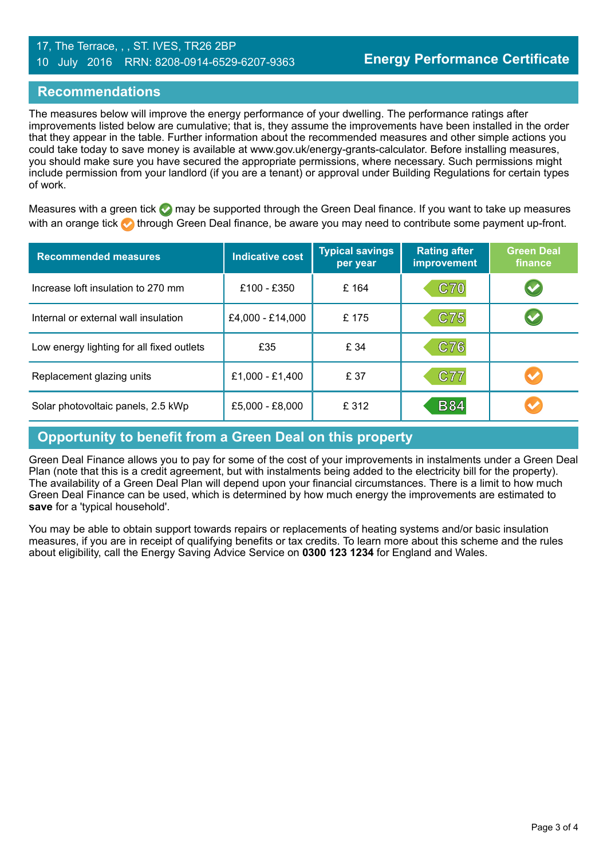#### 17, The Terrace, , , ST. IVES, TR26 2BP 10 July 2016 RRN: 8208-0914-6529-6207-9363

#### **Recommendations**

The measures below will improve the energy performance of your dwelling. The performance ratings after improvements listed below are cumulative; that is, they assume the improvements have been installed in the order that they appear in the table. Further information about the recommended measures and other simple actions you could take today to save money is available at www.gov.uk/energy-grants-calculator. Before installing measures, you should make sure you have secured the appropriate permissions, where necessary. Such permissions might include permission from your landlord (if you are a tenant) or approval under Building Regulations for certain types of work.

Measures with a green tick  $\bullet$  may be supported through the Green Deal finance. If you want to take up measures with an orange tick **th** through Green Deal finance, be aware you may need to contribute some payment up-front.

| <b>Recommended measures</b>               | <b>Indicative cost</b> | <b>Typical savings</b><br>per year | <b>Rating after</b><br><b>improvement</b> | <b>Green Deal</b><br>finance |
|-------------------------------------------|------------------------|------------------------------------|-------------------------------------------|------------------------------|
| Increase loft insulation to 270 mm        | £100 - £350            | £164                               | <b>C70</b>                                | $\blacktriangledown$         |
| Internal or external wall insulation      | £4,000 - £14,000       | £175                               | C75                                       |                              |
| Low energy lighting for all fixed outlets | £35                    | £ 34                               | C76                                       |                              |
| Replacement glazing units                 | £1,000 - £1,400        | £ 37                               | C77                                       |                              |
| Solar photovoltaic panels, 2.5 kWp        | £5,000 - £8,000        | £312                               | <b>B84</b>                                |                              |

# **Opportunity to benefit from a Green Deal on this property**

Green Deal Finance allows you to pay for some of the cost of your improvements in instalments under a Green Deal Plan (note that this is a credit agreement, but with instalments being added to the electricity bill for the property). The availability of a Green Deal Plan will depend upon your financial circumstances. There is a limit to how much Green Deal Finance can be used, which is determined by how much energy the improvements are estimated to **save** for a 'typical household'.

You may be able to obtain support towards repairs or replacements of heating systems and/or basic insulation measures, if you are in receipt of qualifying benefits or tax credits. To learn more about this scheme and the rules about eligibility, call the Energy Saving Advice Service on **0300 123 1234** for England and Wales.